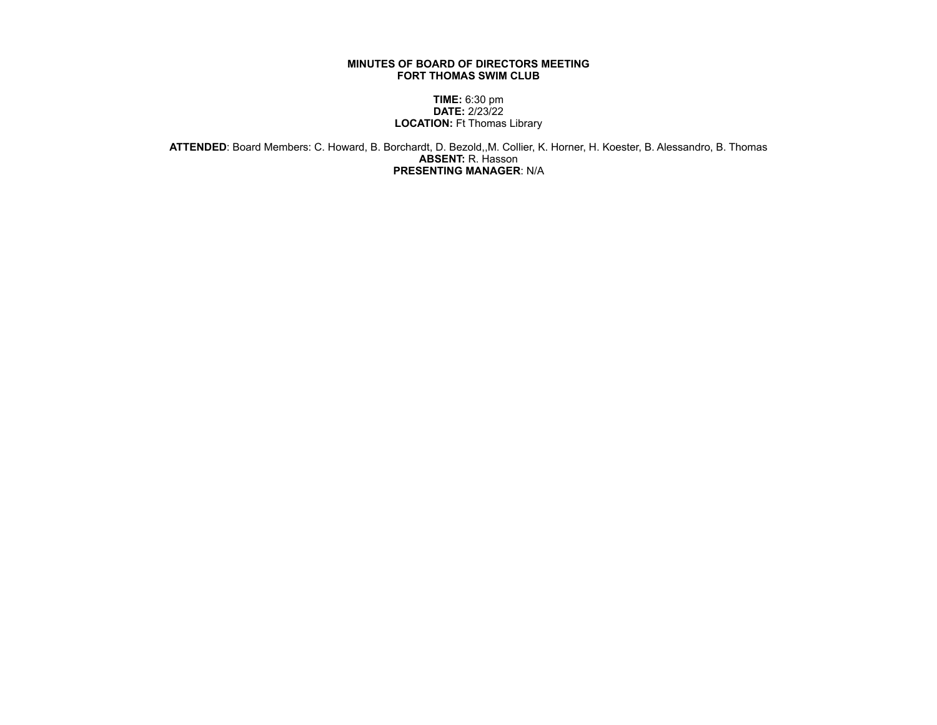## **MINUTES OF BOARD OF DIRECTORS MEETING FORT THOMAS SWIM CLUB**

## **TIME:** 6:30 pm **DATE:** 2/23/22 **LOCATION:** Ft Thomas Library

**ATTENDED**: Board Members: C. Howard, B. Borchardt, D. Bezold,,M. Collier, K. Horner, H. Koester, B. Alessandro, B. Thomas **ABSENT:** R. Hasson **PRESENTING MANAGER**: N/A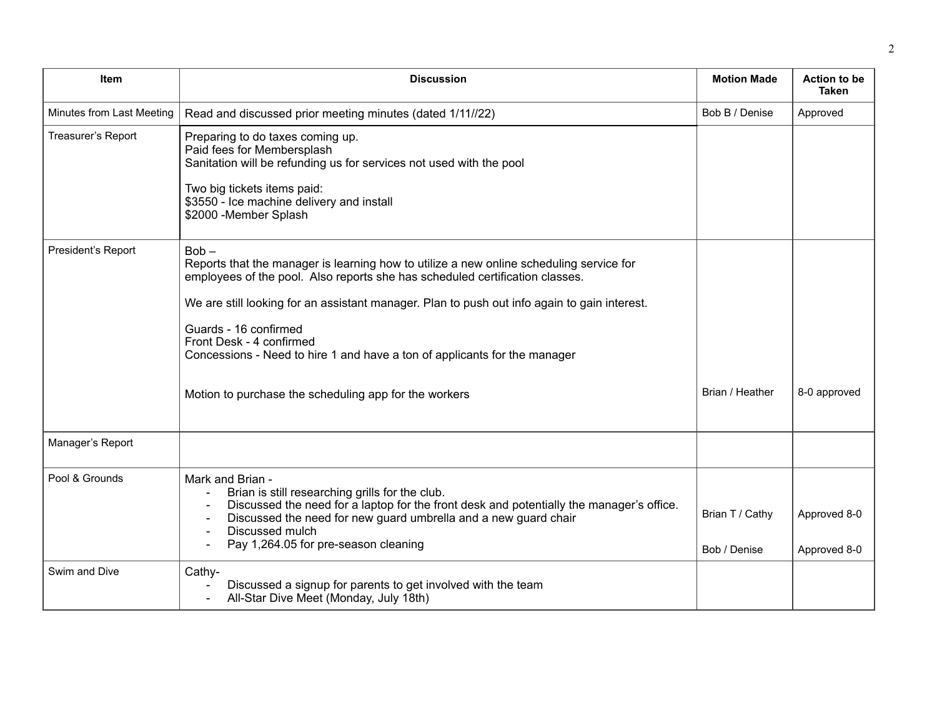| Item                      | <b>Discussion</b>                                                                                                                                                                                                                                                                                                                                                                                                                                                             | <b>Motion Made</b>              | <b>Action to be</b><br><b>Taken</b> |
|---------------------------|-------------------------------------------------------------------------------------------------------------------------------------------------------------------------------------------------------------------------------------------------------------------------------------------------------------------------------------------------------------------------------------------------------------------------------------------------------------------------------|---------------------------------|-------------------------------------|
| Minutes from Last Meeting | Read and discussed prior meeting minutes (dated 1/11//22)                                                                                                                                                                                                                                                                                                                                                                                                                     | Bob B / Denise                  | Approved                            |
| Treasurer's Report        | Preparing to do taxes coming up.<br>Paid fees for Membersplash<br>Sanitation will be refunding us for services not used with the pool<br>Two big tickets items paid:<br>\$3550 - Ice machine delivery and install<br>\$2000 -Member Splash                                                                                                                                                                                                                                    |                                 |                                     |
| President's Report        | $Bob -$<br>Reports that the manager is learning how to utilize a new online scheduling service for<br>employees of the pool. Also reports she has scheduled certification classes.<br>We are still looking for an assistant manager. Plan to push out info again to gain interest.<br>Guards - 16 confirmed<br>Front Desk - 4 confirmed<br>Concessions - Need to hire 1 and have a ton of applicants for the manager<br>Motion to purchase the scheduling app for the workers | Brian / Heather                 | 8-0 approved                        |
| Manager's Report          |                                                                                                                                                                                                                                                                                                                                                                                                                                                                               |                                 |                                     |
| Pool & Grounds            | Mark and Brian -<br>Brian is still researching grills for the club.<br>Discussed the need for a laptop for the front desk and potentially the manager's office.<br>Discussed the need for new guard umbrella and a new guard chair<br>Discussed mulch<br>Pay 1,264.05 for pre-season cleaning                                                                                                                                                                                 | Brian T / Cathy<br>Bob / Denise | Approved 8-0<br>Approved 8-0        |
| Swim and Dive             | Cathy-<br>Discussed a signup for parents to get involved with the team<br>All-Star Dive Meet (Monday, July 18th)                                                                                                                                                                                                                                                                                                                                                              |                                 |                                     |

2